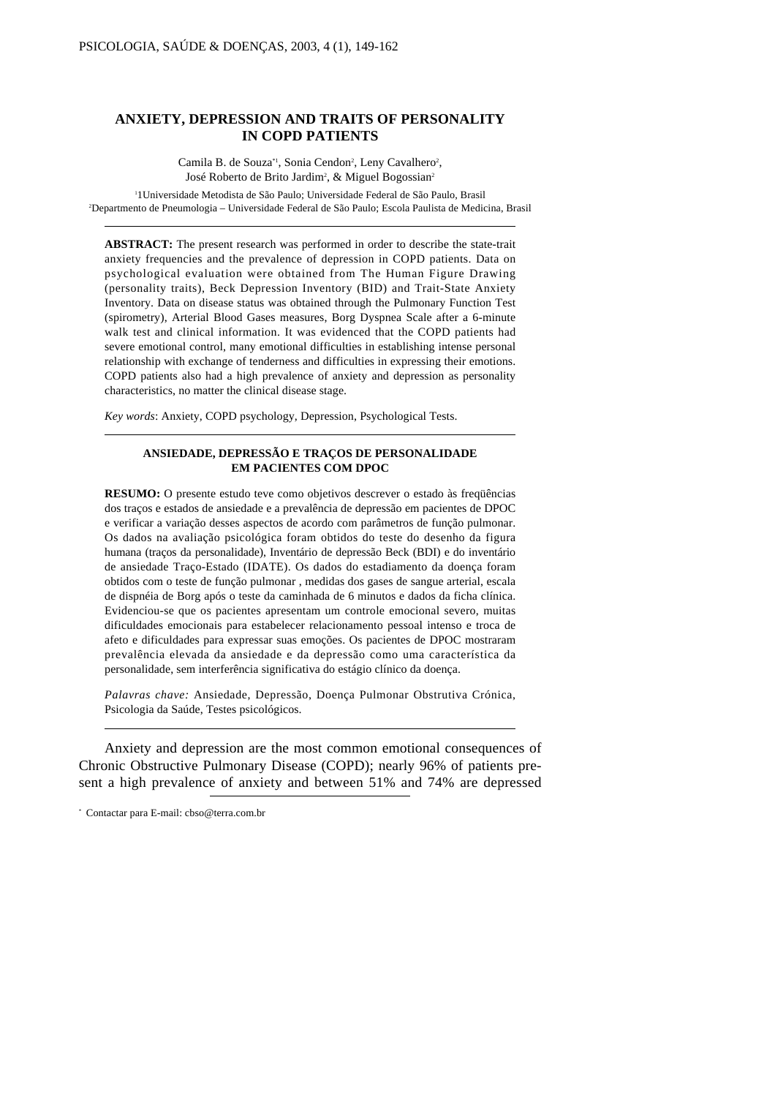# **ANXIETY, DEPRESSION AND TRAITS OF PERSONALITY IN COPD PATIENTS**

Camila B. de Souza<sup>\*1</sup>, Sonia Cendon<sup>2</sup>, Leny Cavalhero<sup>2</sup>, José Roberto de Brito Jardim<sup>2</sup>, & Miguel Bogossian<sup>2</sup>

1 1Universidade Metodista de São Paulo; Universidade Federal de São Paulo, Brasil 2 Departmento de Pneumologia – Universidade Federal de São Paulo; Escola Paulista de Medicina, Brasil

**ABSTRACT:** The present research was performed in order to describe the state-trait anxiety frequencies and the prevalence of depression in COPD patients. Data on psychological evaluation were obtained from The Human Figure Drawing (personality traits), Beck Depression Inventory (BID) and Trait-State Anxiety Inventory. Data on disease status was obtained through the Pulmonary Function Test (spirometry), Arterial Blood Gases measures, Borg Dyspnea Scale after a 6-minute walk test and clinical information. It was evidenced that the COPD patients had severe emotional control, many emotional difficulties in establishing intense personal relationship with exchange of tenderness and difficulties in expressing their emotions. COPD patients also had a high prevalence of anxiety and depression as personality characteristics, no matter the clinical disease stage.

*Key words*: Anxiety, COPD psychology, Depression, Psychological Tests.

#### **ANSIEDADE, DEPRESSÃO E TRAÇOS DE PERSONALIDADE EM PACIENTES COM DPOC**

**RESUMO:** O presente estudo teve como objetivos descrever o estado às freqüências dos traços e estados de ansiedade e a prevalência de depressão em pacientes de DPOC e verificar a variação desses aspectos de acordo com parâmetros de função pulmonar. Os dados na avaliação psicológica foram obtidos do teste do desenho da figura humana (traços da personalidade), Inventário de depressão Beck (BDI) e do inventário de ansiedade Traço-Estado (IDATE). Os dados do estadiamento da doença foram obtidos com o teste de função pulmonar , medidas dos gases de sangue arterial, escala de dispnéia de Borg após o teste da caminhada de 6 minutos e dados da ficha clínica. Evidenciou-se que os pacientes apresentam um controle emocional severo, muitas dificuldades emocionais para estabelecer relacionamento pessoal intenso e troca de afeto e dificuldades para expressar suas emoções. Os pacientes de DPOC mostraram prevalência elevada da ansiedade e da depressão como uma característica da personalidade, sem interferência significativa do estágio clínico da doença.

*Palavras chave:* Ansiedade, Depressão, Doença Pulmonar Obstrutiva Crónica, Psicologia da Saúde, Testes psicológicos.

Anxiety and depression are the most common emotional consequences of Chronic Obstructive Pulmonary Disease (COPD); nearly 96% of patients present a high prevalence of anxiety and between 51% and 74% are depressed

<sup>\*</sup> Contactar para E-mail: cbso@terra.com.br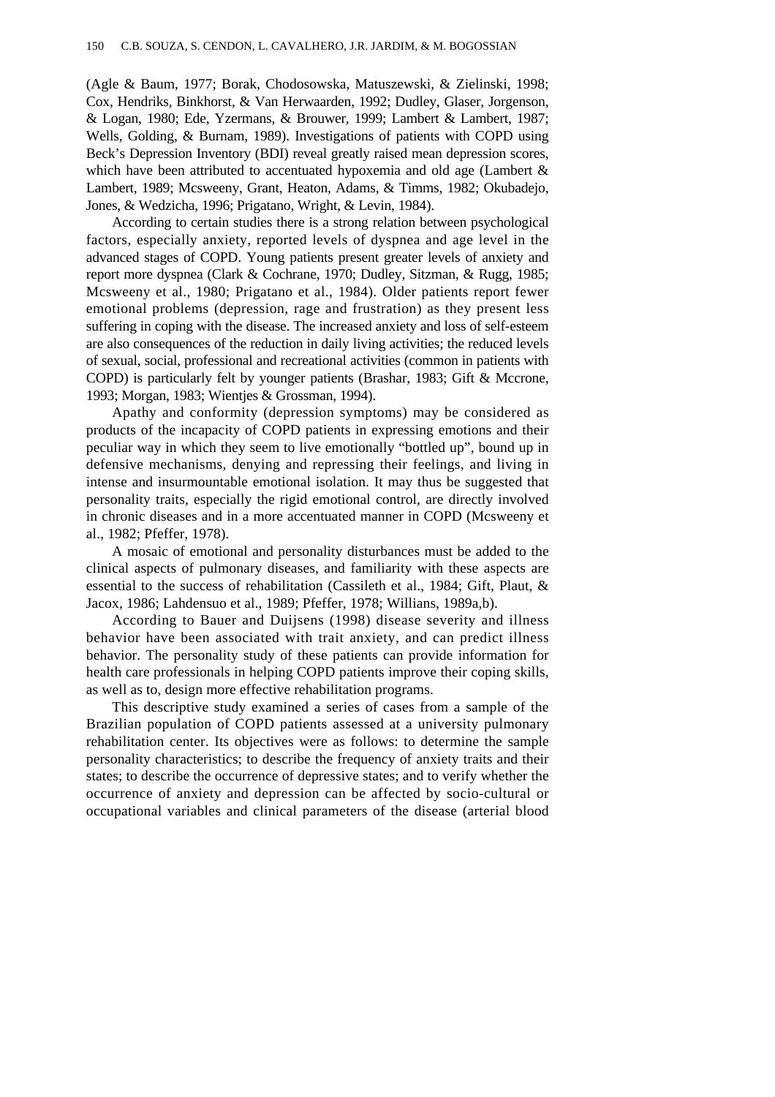(Agle & Baum, 1977; Borak, Chodosowska, Matuszewski, & Zielinski, 1998; Cox, Hendriks, Binkhorst, & Van Herwaarden, 1992; Dudley, Glaser, Jorgenson, & Logan, 1980; Ede, Yzermans, & Brouwer, 1999; Lambert & Lambert, 1987; Wells, Golding, & Burnam, 1989). Investigations of patients with COPD using Beck's Depression Inventory (BDI) reveal greatly raised mean depression scores, which have been attributed to accentuated hypoxemia and old age (Lambert & Lambert, 1989; Mcsweeny, Grant, Heaton, Adams, & Timms, 1982; Okubadejo, Jones, & Wedzicha, 1996; Prigatano, Wright, & Levin, 1984).

According to certain studies there is a strong relation between psychological factors, especially anxiety, reported levels of dyspnea and age level in the advanced stages of COPD. Young patients present greater levels of anxiety and report more dyspnea (Clark & Cochrane, 1970; Dudley, Sitzman, & Rugg, 1985; Mcsweeny et al., 1980; Prigatano et al., 1984). Older patients report fewer emotional problems (depression, rage and frustration) as they present less suffering in coping with the disease. The increased anxiety and loss of self-esteem are also consequences of the reduction in daily living activities; the reduced levels of sexual, social, professional and recreational activities (common in patients with COPD) is particularly felt by younger patients (Brashar, 1983; Gift & Mccrone, 1993; Morgan, 1983; Wientjes & Grossman, 1994).

Apathy and conformity (depression symptoms) may be considered as products of the incapacity of COPD patients in expressing emotions and their peculiar way in which they seem to live emotionally "bottled up", bound up in defensive mechanisms, denying and repressing their feelings, and living in intense and insurmountable emotional isolation. It may thus be suggested that personality traits, especially the rigid emotional control, are directly involved in chronic diseases and in a more accentuated manner in COPD (Mcsweeny et al., 1982; Pfeffer, 1978).

A mosaic of emotional and personality disturbances must be added to the clinical aspects of pulmonary diseases, and familiarity with these aspects are essential to the success of rehabilitation (Cassileth et al., 1984; Gift, Plaut, & Jacox, 1986; Lahdensuo et al., 1989; Pfeffer, 1978; Willians, 1989a,b).

According to Bauer and Duijsens (1998) disease severity and illness behavior have been associated with trait anxiety, and can predict illness behavior. The personality study of these patients can provide information for health care professionals in helping COPD patients improve their coping skills, as well as to, design more effective rehabilitation programs.

This descriptive study examined a series of cases from a sample of the Brazilian population of COPD patients assessed at a university pulmonary rehabilitation center. Its objectives were as follows: to determine the sample personality characteristics; to describe the frequency of anxiety traits and their states; to describe the occurrence of depressive states; and to verify whether the occurrence of anxiety and depression can be affected by socio-cultural or occupational variables and clinical parameters of the disease (arterial blood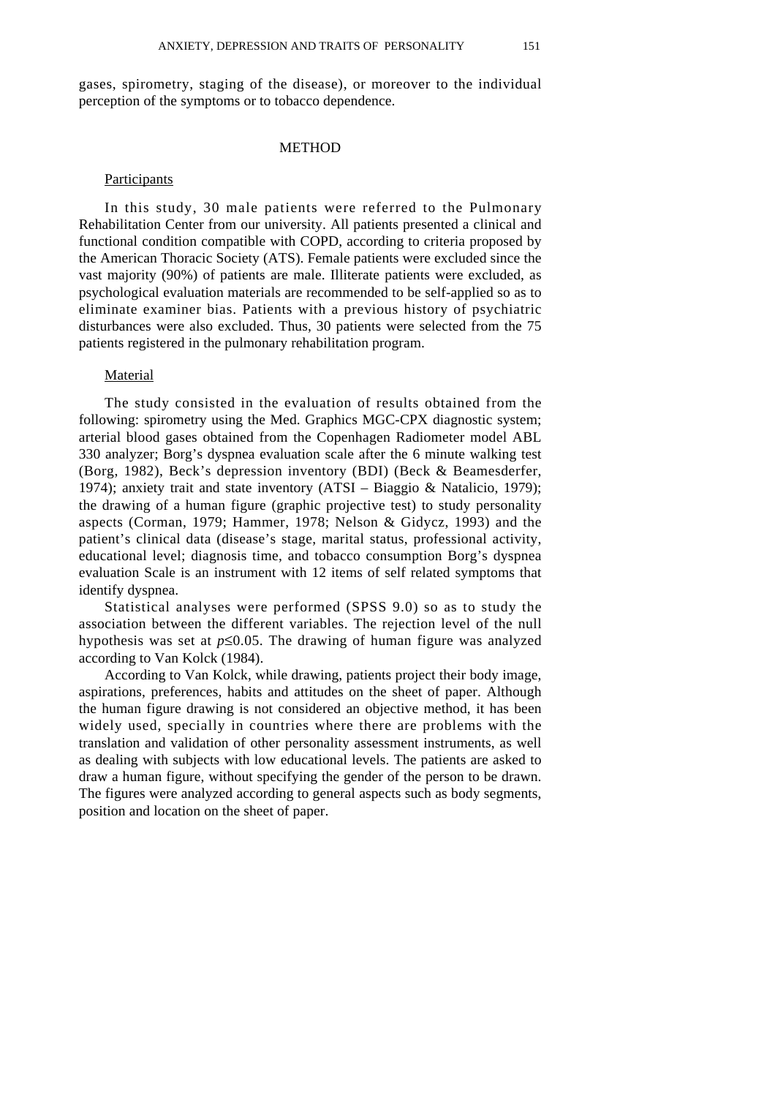gases, spirometry, staging of the disease), or moreover to the individual perception of the symptoms or to tobacco dependence.

## METHOD

# Participants

In this study, 30 male patients were referred to the Pulmonary Rehabilitation Center from our university. All patients presented a clinical and functional condition compatible with COPD, according to criteria proposed by the American Thoracic Society (ATS). Female patients were excluded since the vast majority (90%) of patients are male. Illiterate patients were excluded, as psychological evaluation materials are recommended to be self-applied so as to eliminate examiner bias. Patients with a previous history of psychiatric disturbances were also excluded. Thus, 30 patients were selected from the 75 patients registered in the pulmonary rehabilitation program.

### **Material**

The study consisted in the evaluation of results obtained from the following: spirometry using the Med. Graphics MGC-CPX diagnostic system; arterial blood gases obtained from the Copenhagen Radiometer model ABL 330 analyzer; Borg's dyspnea evaluation scale after the 6 minute walking test (Borg, 1982), Beck's depression inventory (BDI) (Beck & Beamesderfer, 1974); anxiety trait and state inventory (ATSI – Biaggio & Natalicio, 1979); the drawing of a human figure (graphic projective test) to study personality aspects (Corman, 1979; Hammer, 1978; Nelson & Gidycz, 1993) and the patient's clinical data (disease's stage, marital status, professional activity, educational level; diagnosis time, and tobacco consumption Borg's dyspnea evaluation Scale is an instrument with 12 items of self related symptoms that identify dyspnea.

Statistical analyses were performed (SPSS 9.0) so as to study the association between the different variables. The rejection level of the null hypothesis was set at  $p \le 0.05$ . The drawing of human figure was analyzed according to Van Kolck (1984).

According to Van Kolck, while drawing, patients project their body image, aspirations, preferences, habits and attitudes on the sheet of paper. Although the human figure drawing is not considered an objective method, it has been widely used, specially in countries where there are problems with the translation and validation of other personality assessment instruments, as well as dealing with subjects with low educational levels. The patients are asked to draw a human figure, without specifying the gender of the person to be drawn. The figures were analyzed according to general aspects such as body segments, position and location on the sheet of paper.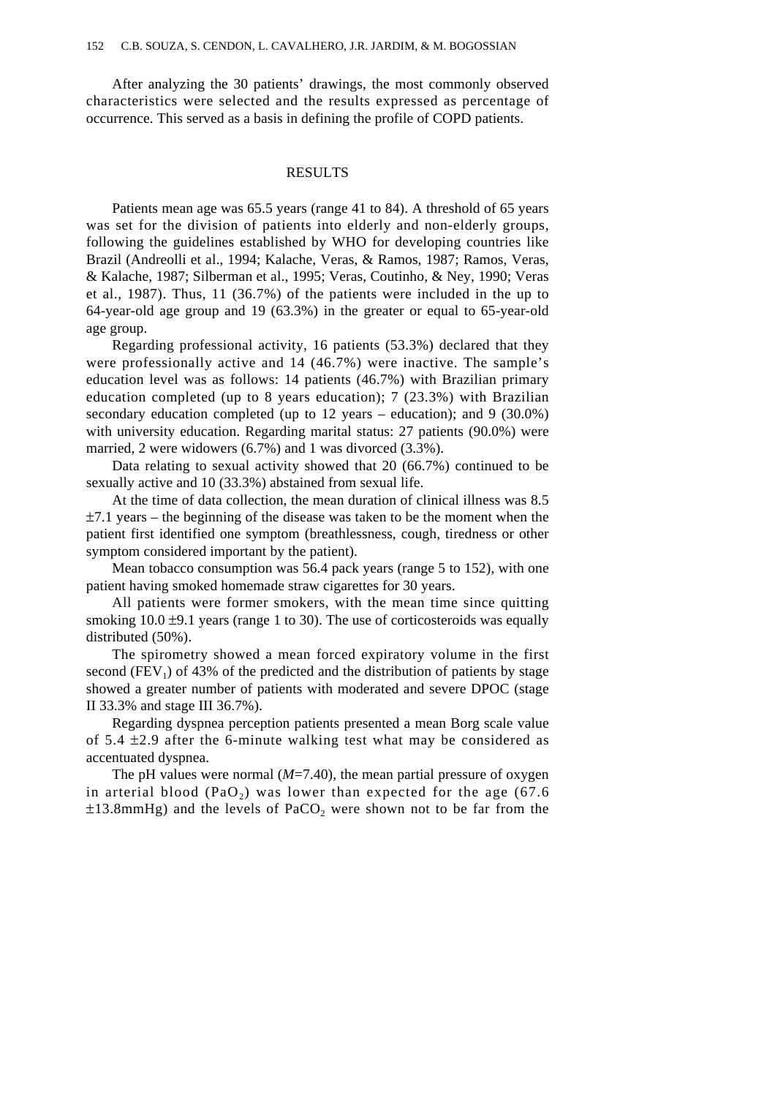After analyzing the 30 patients' drawings, the most commonly observed characteristics were selected and the results expressed as percentage of occurrence. This served as a basis in defining the profile of COPD patients.

## RESULTS

Patients mean age was 65.5 years (range 41 to 84). A threshold of 65 years was set for the division of patients into elderly and non-elderly groups, following the guidelines established by WHO for developing countries like Brazil (Andreolli et al., 1994; Kalache, Veras, & Ramos, 1987; Ramos, Veras, & Kalache, 1987; Silberman et al., 1995; Veras, Coutinho, & Ney, 1990; Veras et al., 1987). Thus, 11 (36.7%) of the patients were included in the up to 64-year-old age group and 19 (63.3%) in the greater or equal to 65-year-old age group.

Regarding professional activity, 16 patients (53.3%) declared that they were professionally active and 14 (46.7%) were inactive. The sample's education level was as follows: 14 patients (46.7%) with Brazilian primary education completed (up to 8 years education); 7 (23.3%) with Brazilian secondary education completed (up to 12 years – education); and 9 (30.0%) with university education. Regarding marital status: 27 patients (90.0%) were married, 2 were widowers (6.7%) and 1 was divorced (3.3%).

Data relating to sexual activity showed that 20 (66.7%) continued to be sexually active and 10 (33.3%) abstained from sexual life.

At the time of data collection, the mean duration of clinical illness was 8.5  $\pm$ 7.1 years – the beginning of the disease was taken to be the moment when the patient first identified one symptom (breathlessness, cough, tiredness or other symptom considered important by the patient).

Mean tobacco consumption was 56.4 pack years (range 5 to 152), with one patient having smoked homemade straw cigarettes for 30 years.

All patients were former smokers, with the mean time since quitting smoking  $10.0 \pm 9.1$  years (range 1 to 30). The use of corticosteroids was equally distributed (50%).

The spirometry showed a mean forced expiratory volume in the first second  $(FEV_1)$  of 43% of the predicted and the distribution of patients by stage showed a greater number of patients with moderated and severe DPOC (stage II 33.3% and stage III 36.7%).

Regarding dyspnea perception patients presented a mean Borg scale value of  $5.4 \pm 2.9$  after the 6-minute walking test what may be considered as accentuated dyspnea.

The pH values were normal  $(M=7.40)$ , the mean partial pressure of oxygen in arterial blood (PaO<sub>2</sub>) was lower than expected for the age  $(67.6$  $\pm 13.8$ mmHg) and the levels of PaCO<sub>2</sub> were shown not to be far from the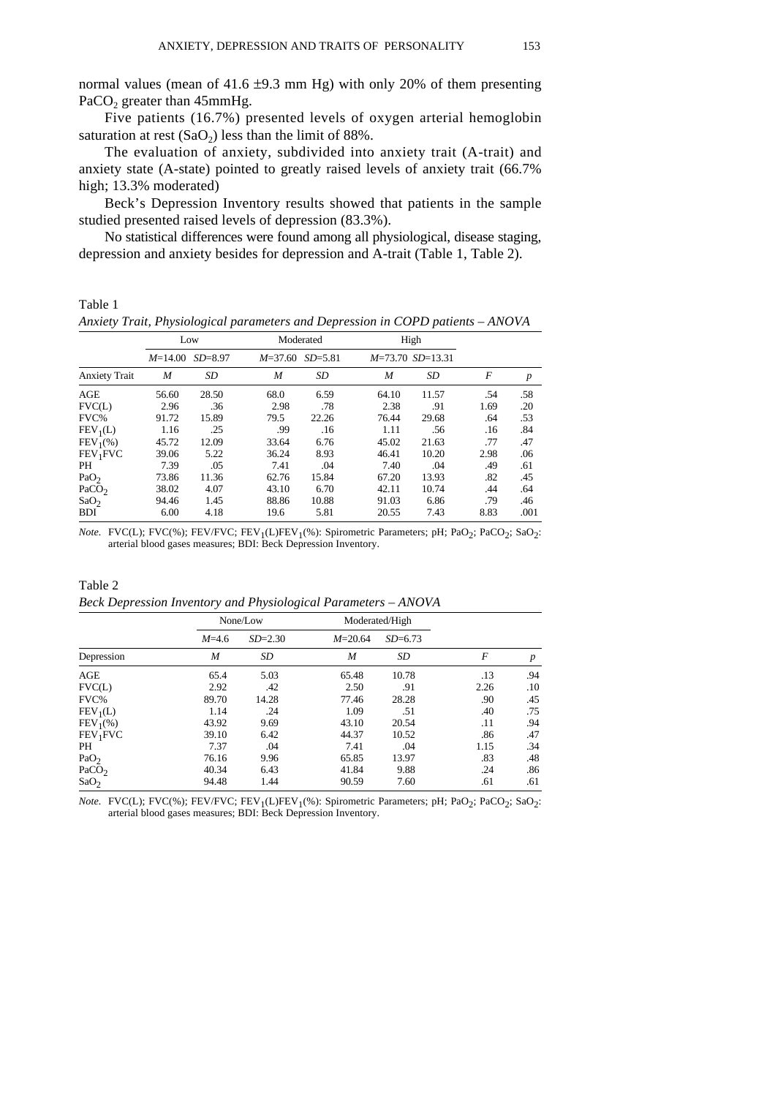normal values (mean of 41.6  $\pm$ 9.3 mm Hg) with only 20% of them presenting PaCO<sub>2</sub> greater than 45mmHg.

Five patients (16.7%) presented levels of oxygen arterial hemoglobin saturation at rest  $(SaO<sub>2</sub>)$  less than the limit of 88%.

The evaluation of anxiety, subdivided into anxiety trait (A-trait) and anxiety state (A-state) pointed to greatly raised levels of anxiety trait (66.7% high; 13.3% moderated)

Beck's Depression Inventory results showed that patients in the sample studied presented raised levels of depression (83.3%).

No statistical differences were found among all physiological, disease staging, depression and anxiety besides for depression and A-trait (Table 1, Table 2).

Table 1

*Anxiety Trait, Physiological parameters and Depression in COPD patients – ANOVA*

|                      | Low       |             | Moderated   |             | High  |                    |      |                  |
|----------------------|-----------|-------------|-------------|-------------|-------|--------------------|------|------------------|
|                      | $M=14.00$ | $SD = 8.97$ | $M = 37.60$ | $SD = 5.81$ |       | $M=73.70$ SD=13.31 |      |                  |
| <b>Anxiety Trait</b> | M         | SD          | M           | SD          | M     | SD                 | F    | $\boldsymbol{p}$ |
| AGE                  | 56.60     | 28.50       | 68.0        | 6.59        | 64.10 | 11.57              | .54  | .58              |
| FVC(L)               | 2.96      | .36         | 2.98        | .78         | 2.38  | .91                | 1.69 | .20              |
| FVC%                 | 91.72     | 15.89       | 79.5        | 22.26       | 76.44 | 29.68              | .64  | .53              |
| $FEV_1(L)$           | 1.16      | .25         | .99         | .16         | 1.11  | .56                | .16  | .84              |
| $FEV_1(\%)$          | 45.72     | 12.09       | 33.64       | 6.76        | 45.02 | 21.63              | .77  | .47              |
| FEV <sub>1</sub> FVC | 39.06     | 5.22        | 36.24       | 8.93        | 46.41 | 10.20              | 2.98 | .06              |
| PH                   | 7.39      | .05         | 7.41        | .04         | 7.40  | .04                | .49  | .61              |
| PaO <sub>2</sub>     | 73.86     | 11.36       | 62.76       | 15.84       | 67.20 | 13.93              | .82  | .45              |
| PaCO <sub>2</sub>    | 38.02     | 4.07        | 43.10       | 6.70        | 42.11 | 10.74              | .44  | .64              |
| SaO <sub>2</sub>     | 94.46     | 1.45        | 88.86       | 10.88       | 91.03 | 6.86               | .79  | .46              |
| <b>BDI</b>           | 6.00      | 4.18        | 19.6        | 5.81        | 20.55 | 7.43               | 8.83 | .001             |

*Note.* FVC(L); FVC(%); FEV/FVC; FEV<sub>1</sub>(L)FEV<sub>1</sub>(%): Spirometric Parameters; pH; PaO<sub>2</sub>; PaCO<sub>2</sub>; SaO<sub>2</sub>: arterial blood gases measures; BDI: Beck Depression Inventory.

Table 2 *Beck Depression Inventory and Physiological Parameters – ANOVA*

|                      |           | None/Low    | Moderated/High |             |      |                  |
|----------------------|-----------|-------------|----------------|-------------|------|------------------|
|                      | $M = 4.6$ | $SD = 2.30$ | $M = 20.64$    | $SD = 6.73$ |      |                  |
| Depression           | M         | SD          | M              | SD          | F    | $\boldsymbol{p}$ |
| AGE                  | 65.4      | 5.03        | 65.48          | 10.78       | .13  | .94              |
| FVC(L)               | 2.92      | .42         | 2.50           | .91         | 2.26 | .10              |
| FVC%                 | 89.70     | 14.28       | 77.46          | 28.28       | .90  | .45              |
| $FEV_1(L)$           | 1.14      | .24         | 1.09           | .51         | .40  | .75              |
| $FEV_1(\%)$          | 43.92     | 9.69        | 43.10          | 20.54       | .11  | .94              |
| FEV <sub>1</sub> FVC | 39.10     | 6.42        | 44.37          | 10.52       | .86  | .47              |
| PH                   | 7.37      | .04         | 7.41           | .04         | 1.15 | .34              |
| PaO <sub>2</sub>     | 76.16     | 9.96        | 65.85          | 13.97       | .83  | .48              |
| PaCO <sub>2</sub>    | 40.34     | 6.43        | 41.84          | 9.88        | .24  | .86              |
| SaO <sub>2</sub>     | 94.48     | 1.44        | 90.59          | 7.60        | .61  | .61              |

*Note.* FVC(L); FVC(%); FEV/FVC; FEV<sub>1</sub>(L)FEV<sub>1</sub>(%): Spirometric Parameters; pH; PaO<sub>2</sub>; PaCO<sub>2</sub>; SaO<sub>2</sub>: arterial blood gases measures; BDI: Beck Depression Inventory.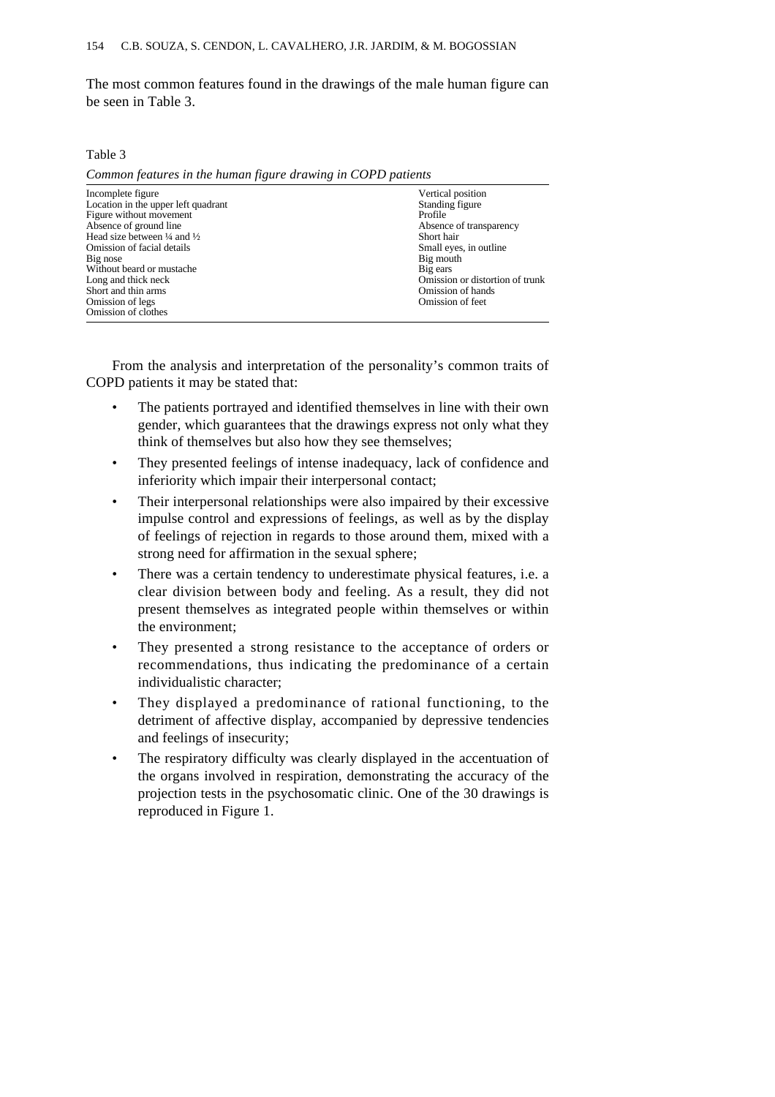The most common features found in the drawings of the male human figure can be seen in Table 3.

Table 3

| Incomplete figure                                 | Vertical position               |  |  |  |
|---------------------------------------------------|---------------------------------|--|--|--|
| Location in the upper left quadrant               | Standing figure                 |  |  |  |
| Figure without movement                           | Profile                         |  |  |  |
| Absence of ground line                            | Absence of transparency         |  |  |  |
| Head size between $\frac{1}{4}$ and $\frac{1}{2}$ | Short hair                      |  |  |  |
| Omission of facial details                        | Small eyes, in outline.         |  |  |  |
| Big nose                                          | Big mouth                       |  |  |  |
| Without beard or mustache                         | Big ears                        |  |  |  |
| Long and thick neck                               | Omission or distortion of trunk |  |  |  |
| Short and thin arms                               | Omission of hands               |  |  |  |
| Omission of legs                                  | Omission of feet                |  |  |  |
| Omission of clothes                               |                                 |  |  |  |

*Common features in the human figure drawing in COPD patients*

From the analysis and interpretation of the personality's common traits of COPD patients it may be stated that:

- The patients portrayed and identified themselves in line with their own gender, which guarantees that the drawings express not only what they think of themselves but also how they see themselves;
- They presented feelings of intense inadequacy, lack of confidence and inferiority which impair their interpersonal contact;
- Their interpersonal relationships were also impaired by their excessive impulse control and expressions of feelings, as well as by the display of feelings of rejection in regards to those around them, mixed with a strong need for affirmation in the sexual sphere;
- There was a certain tendency to underestimate physical features, i.e. a clear division between body and feeling. As a result, they did not present themselves as integrated people within themselves or within the environment;
- They presented a strong resistance to the acceptance of orders or recommendations, thus indicating the predominance of a certain individualistic character;
- They displayed a predominance of rational functioning, to the detriment of affective display, accompanied by depressive tendencies and feelings of insecurity;
- The respiratory difficulty was clearly displayed in the accentuation of the organs involved in respiration, demonstrating the accuracy of the projection tests in the psychosomatic clinic. One of the 30 drawings is reproduced in Figure 1.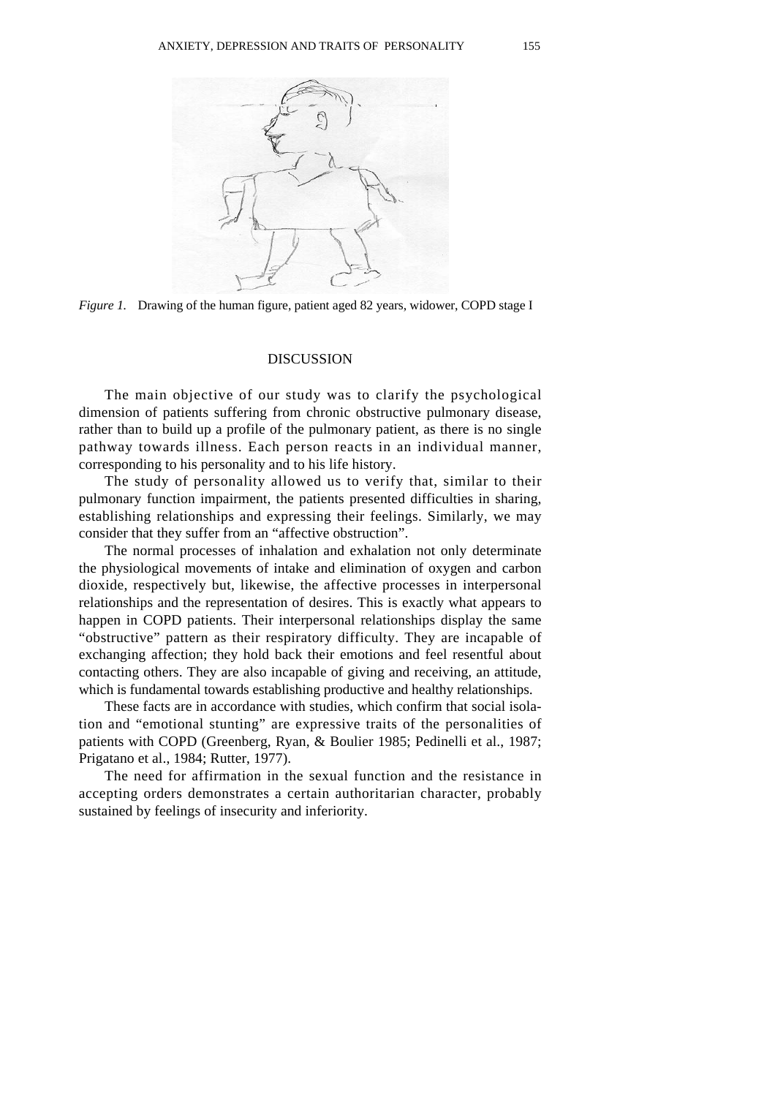



### **DISCUSSION**

The main objective of our study was to clarify the psychological dimension of patients suffering from chronic obstructive pulmonary disease, rather than to build up a profile of the pulmonary patient, as there is no single pathway towards illness. Each person reacts in an individual manner, corresponding to his personality and to his life history.

The study of personality allowed us to verify that, similar to their pulmonary function impairment, the patients presented difficulties in sharing, establishing relationships and expressing their feelings. Similarly, we may consider that they suffer from an "affective obstruction".

The normal processes of inhalation and exhalation not only determinate the physiological movements of intake and elimination of oxygen and carbon dioxide, respectively but, likewise, the affective processes in interpersonal relationships and the representation of desires. This is exactly what appears to happen in COPD patients. Their interpersonal relationships display the same "obstructive" pattern as their respiratory difficulty. They are incapable of exchanging affection; they hold back their emotions and feel resentful about contacting others. They are also incapable of giving and receiving, an attitude, which is fundamental towards establishing productive and healthy relationships.

These facts are in accordance with studies, which confirm that social isolation and "emotional stunting" are expressive traits of the personalities of patients with COPD (Greenberg, Ryan, & Boulier 1985; Pedinelli et al., 1987; Prigatano et al., 1984; Rutter, 1977).

The need for affirmation in the sexual function and the resistance in accepting orders demonstrates a certain authoritarian character, probably sustained by feelings of insecurity and inferiority.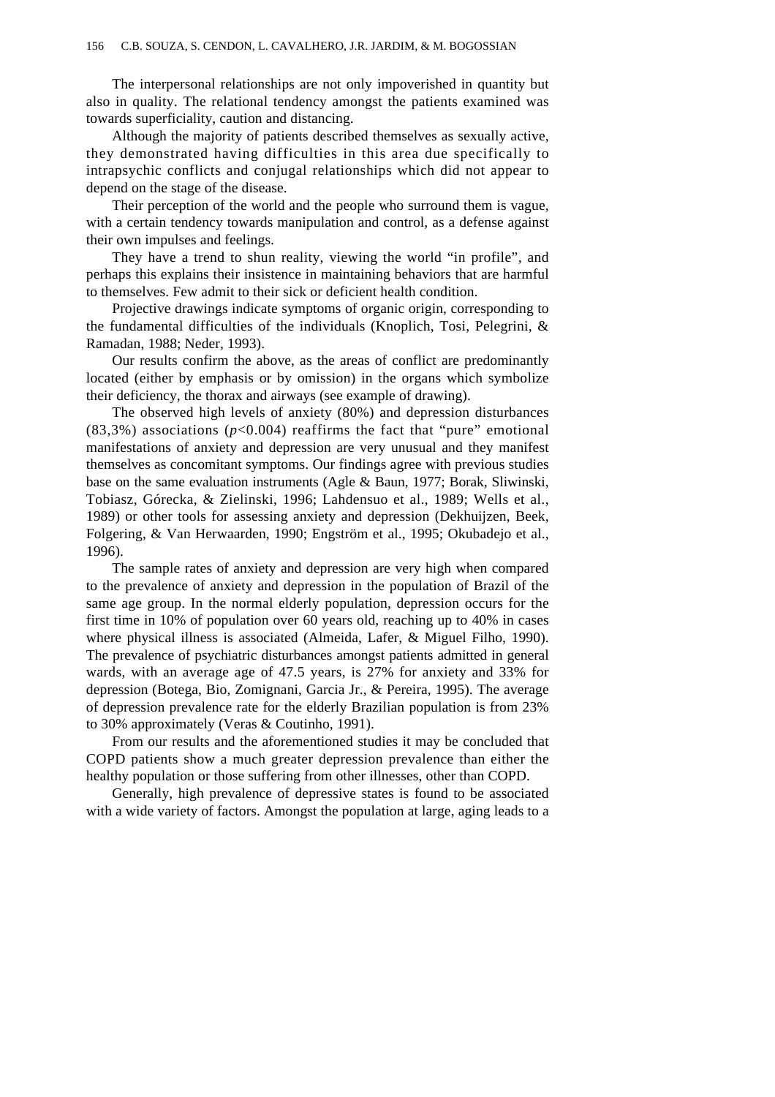The interpersonal relationships are not only impoverished in quantity but also in quality. The relational tendency amongst the patients examined was towards superficiality, caution and distancing.

Although the majority of patients described themselves as sexually active, they demonstrated having difficulties in this area due specifically to intrapsychic conflicts and conjugal relationships which did not appear to depend on the stage of the disease.

Their perception of the world and the people who surround them is vague, with a certain tendency towards manipulation and control, as a defense against their own impulses and feelings.

They have a trend to shun reality, viewing the world "in profile", and perhaps this explains their insistence in maintaining behaviors that are harmful to themselves. Few admit to their sick or deficient health condition.

Projective drawings indicate symptoms of organic origin, corresponding to the fundamental difficulties of the individuals (Knoplich, Tosi, Pelegrini, & Ramadan, 1988; Neder, 1993).

Our results confirm the above, as the areas of conflict are predominantly located (either by emphasis or by omission) in the organs which symbolize their deficiency, the thorax and airways (see example of drawing).

The observed high levels of anxiety (80%) and depression disturbances  $(83,3\%)$  associations  $(p<0.004)$  reaffirms the fact that "pure" emotional manifestations of anxiety and depression are very unusual and they manifest themselves as concomitant symptoms. Our findings agree with previous studies base on the same evaluation instruments (Agle & Baun, 1977; Borak, Sliwinski, Tobiasz, Górecka, & Zielinski, 1996; Lahdensuo et al., 1989; Wells et al., 1989) or other tools for assessing anxiety and depression (Dekhuijzen, Beek, Folgering, & Van Herwaarden, 1990; Engström et al., 1995; Okubadejo et al., 1996).

The sample rates of anxiety and depression are very high when compared to the prevalence of anxiety and depression in the population of Brazil of the same age group. In the normal elderly population, depression occurs for the first time in 10% of population over 60 years old, reaching up to 40% in cases where physical illness is associated (Almeida, Lafer, & Miguel Filho, 1990). The prevalence of psychiatric disturbances amongst patients admitted in general wards, with an average age of 47.5 years, is 27% for anxiety and 33% for depression (Botega, Bio, Zomignani, Garcia Jr., & Pereira, 1995). The average of depression prevalence rate for the elderly Brazilian population is from 23% to 30% approximately (Veras & Coutinho, 1991).

From our results and the aforementioned studies it may be concluded that COPD patients show a much greater depression prevalence than either the healthy population or those suffering from other illnesses, other than COPD.

Generally, high prevalence of depressive states is found to be associated with a wide variety of factors. Amongst the population at large, aging leads to a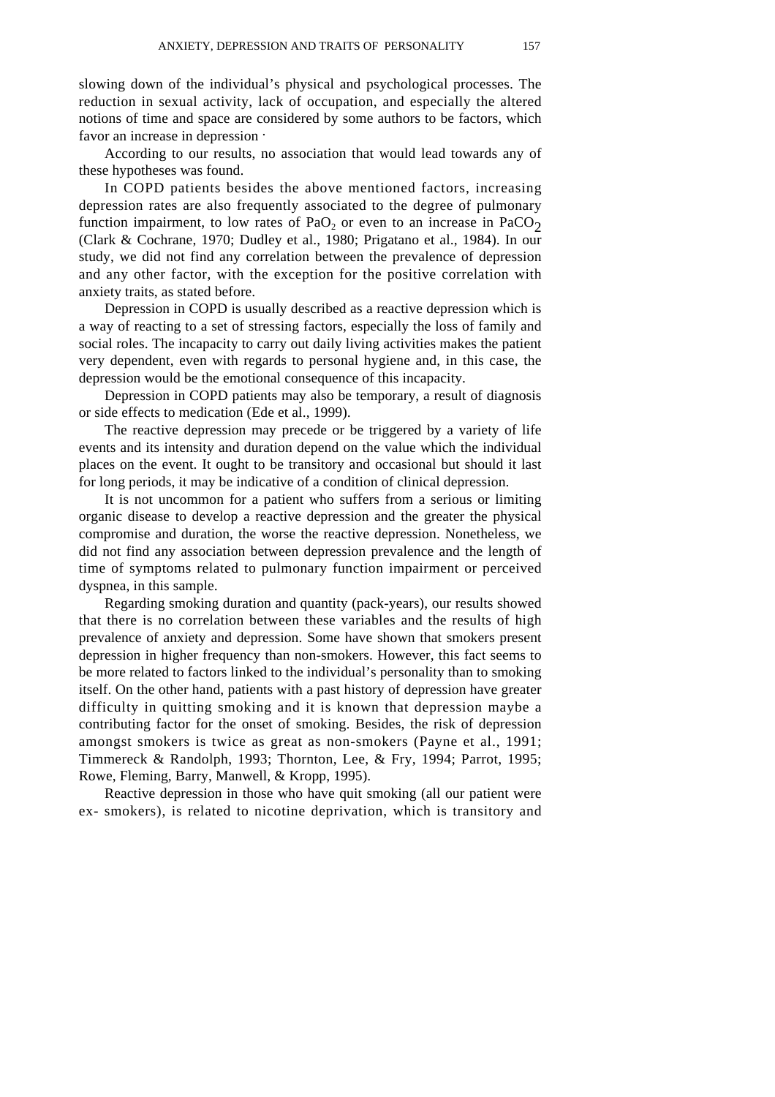slowing down of the individual's physical and psychological processes. The reduction in sexual activity, lack of occupation, and especially the altered notions of time and space are considered by some authors to be factors, which favor an increase in depression .

According to our results, no association that would lead towards any of these hypotheses was found.

In COPD patients besides the above mentioned factors, increasing depression rates are also frequently associated to the degree of pulmonary function impairment, to low rates of PaO<sub>2</sub> or even to an increase in PaCO<sub>2</sub> (Clark & Cochrane, 1970; Dudley et al., 1980; Prigatano et al., 1984). In our study, we did not find any correlation between the prevalence of depression and any other factor, with the exception for the positive correlation with anxiety traits, as stated before.

Depression in COPD is usually described as a reactive depression which is a way of reacting to a set of stressing factors, especially the loss of family and social roles. The incapacity to carry out daily living activities makes the patient very dependent, even with regards to personal hygiene and, in this case, the depression would be the emotional consequence of this incapacity.

Depression in COPD patients may also be temporary, a result of diagnosis or side effects to medication (Ede et al., 1999).

The reactive depression may precede or be triggered by a variety of life events and its intensity and duration depend on the value which the individual places on the event. It ought to be transitory and occasional but should it last for long periods, it may be indicative of a condition of clinical depression.

It is not uncommon for a patient who suffers from a serious or limiting organic disease to develop a reactive depression and the greater the physical compromise and duration, the worse the reactive depression. Nonetheless, we did not find any association between depression prevalence and the length of time of symptoms related to pulmonary function impairment or perceived dyspnea, in this sample.

Regarding smoking duration and quantity (pack-years), our results showed that there is no correlation between these variables and the results of high prevalence of anxiety and depression. Some have shown that smokers present depression in higher frequency than non-smokers. However, this fact seems to be more related to factors linked to the individual's personality than to smoking itself. On the other hand, patients with a past history of depression have greater difficulty in quitting smoking and it is known that depression maybe a contributing factor for the onset of smoking. Besides, the risk of depression amongst smokers is twice as great as non-smokers (Payne et al., 1991; Timmereck & Randolph, 1993; Thornton, Lee, & Fry, 1994; Parrot, 1995; Rowe, Fleming, Barry, Manwell, & Kropp, 1995).

Reactive depression in those who have quit smoking (all our patient were ex- smokers), is related to nicotine deprivation, which is transitory and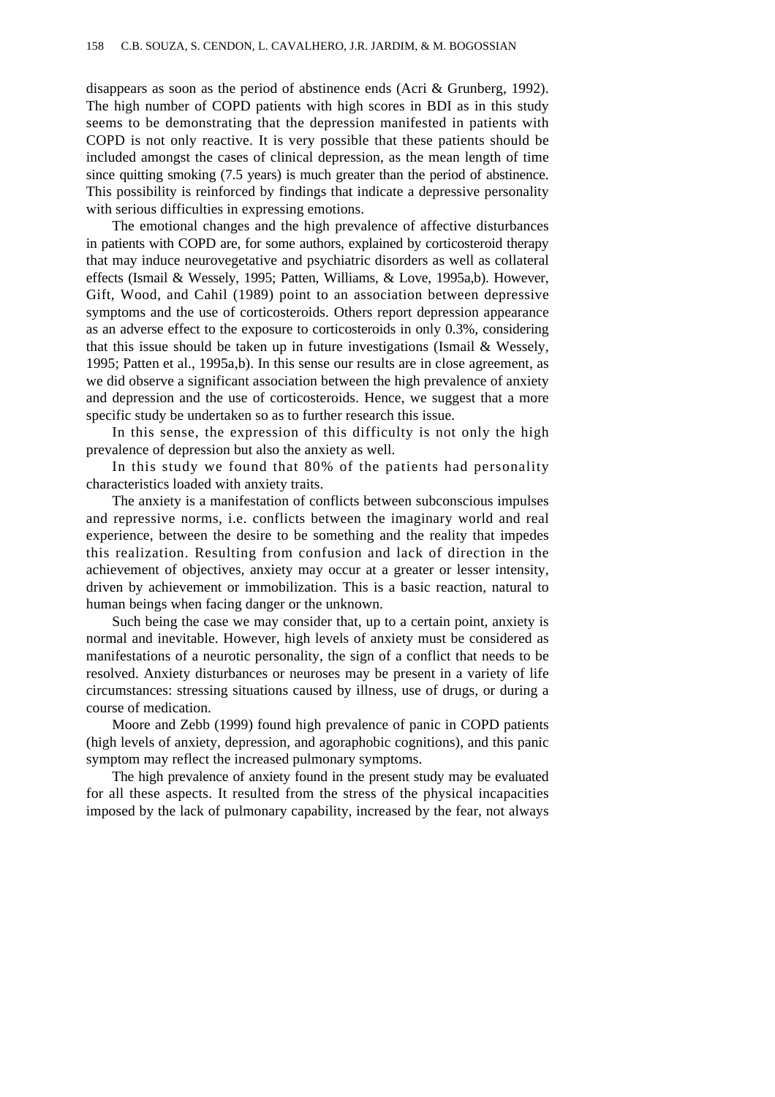disappears as soon as the period of abstinence ends (Acri & Grunberg, 1992). The high number of COPD patients with high scores in BDI as in this study seems to be demonstrating that the depression manifested in patients with COPD is not only reactive. It is very possible that these patients should be included amongst the cases of clinical depression, as the mean length of time since quitting smoking (7.5 years) is much greater than the period of abstinence. This possibility is reinforced by findings that indicate a depressive personality with serious difficulties in expressing emotions.

The emotional changes and the high prevalence of affective disturbances in patients with COPD are, for some authors, explained by corticosteroid therapy that may induce neurovegetative and psychiatric disorders as well as collateral effects (Ismail & Wessely, 1995; Patten, Williams, & Love, 1995a,b). However, Gift, Wood, and Cahil (1989) point to an association between depressive symptoms and the use of corticosteroids. Others report depression appearance as an adverse effect to the exposure to corticosteroids in only 0.3%, considering that this issue should be taken up in future investigations (Ismail  $\&$  Wessely, 1995; Patten et al., 1995a,b). In this sense our results are in close agreement, as we did observe a significant association between the high prevalence of anxiety and depression and the use of corticosteroids. Hence, we suggest that a more specific study be undertaken so as to further research this issue.

In this sense, the expression of this difficulty is not only the high prevalence of depression but also the anxiety as well.

In this study we found that 80% of the patients had personality characteristics loaded with anxiety traits.

The anxiety is a manifestation of conflicts between subconscious impulses and repressive norms, i.e. conflicts between the imaginary world and real experience, between the desire to be something and the reality that impedes this realization. Resulting from confusion and lack of direction in the achievement of objectives, anxiety may occur at a greater or lesser intensity, driven by achievement or immobilization. This is a basic reaction, natural to human beings when facing danger or the unknown.

Such being the case we may consider that, up to a certain point, anxiety is normal and inevitable. However, high levels of anxiety must be considered as manifestations of a neurotic personality, the sign of a conflict that needs to be resolved. Anxiety disturbances or neuroses may be present in a variety of life circumstances: stressing situations caused by illness, use of drugs, or during a course of medication.

Moore and Zebb (1999) found high prevalence of panic in COPD patients (high levels of anxiety, depression, and agoraphobic cognitions), and this panic symptom may reflect the increased pulmonary symptoms.

The high prevalence of anxiety found in the present study may be evaluated for all these aspects. It resulted from the stress of the physical incapacities imposed by the lack of pulmonary capability, increased by the fear, not always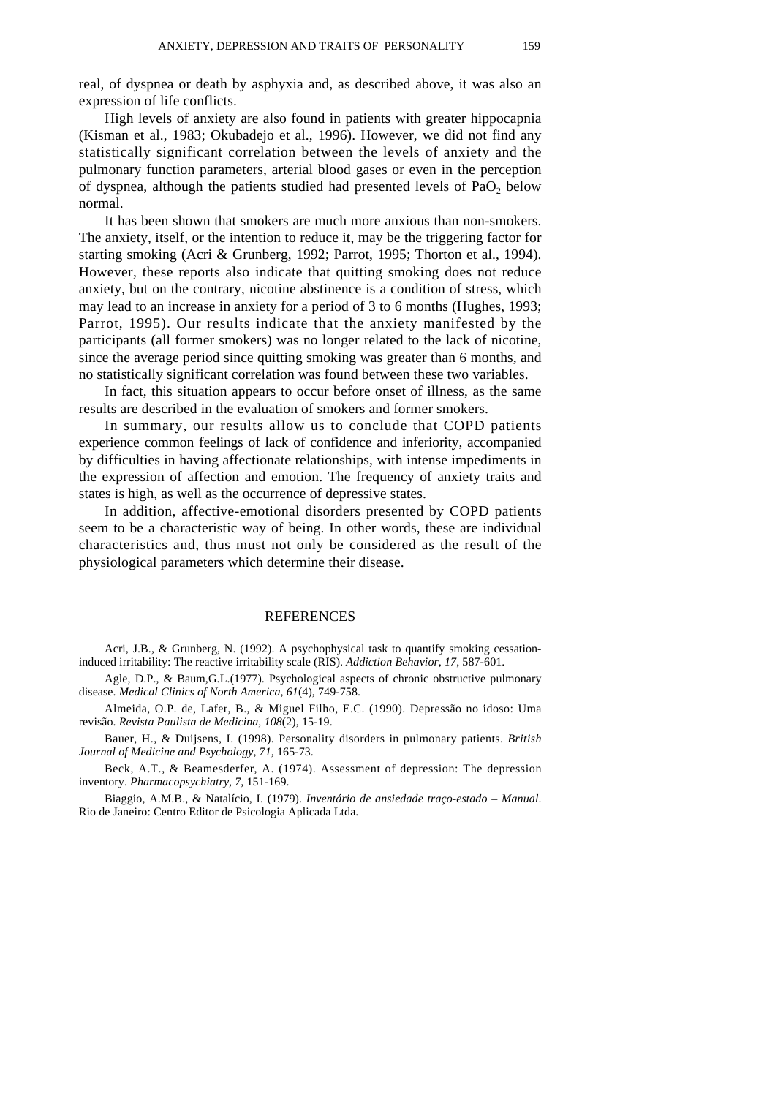real, of dyspnea or death by asphyxia and, as described above, it was also an expression of life conflicts.

High levels of anxiety are also found in patients with greater hippocapnia (Kisman et al., 1983; Okubadejo et al., 1996). However, we did not find any statistically significant correlation between the levels of anxiety and the pulmonary function parameters, arterial blood gases or even in the perception of dyspnea, although the patients studied had presented levels of  $PaO<sub>2</sub>$  below normal.

It has been shown that smokers are much more anxious than non-smokers. The anxiety, itself, or the intention to reduce it, may be the triggering factor for starting smoking (Acri & Grunberg, 1992; Parrot, 1995; Thorton et al., 1994). However, these reports also indicate that quitting smoking does not reduce anxiety, but on the contrary, nicotine abstinence is a condition of stress, which may lead to an increase in anxiety for a period of 3 to 6 months (Hughes, 1993; Parrot, 1995). Our results indicate that the anxiety manifested by the participants (all former smokers) was no longer related to the lack of nicotine, since the average period since quitting smoking was greater than 6 months, and no statistically significant correlation was found between these two variables.

In fact, this situation appears to occur before onset of illness, as the same results are described in the evaluation of smokers and former smokers.

In summary, our results allow us to conclude that COPD patients experience common feelings of lack of confidence and inferiority, accompanied by difficulties in having affectionate relationships, with intense impediments in the expression of affection and emotion. The frequency of anxiety traits and states is high, as well as the occurrence of depressive states.

In addition, affective-emotional disorders presented by COPD patients seem to be a characteristic way of being. In other words, these are individual characteristics and, thus must not only be considered as the result of the physiological parameters which determine their disease.

#### REFERENCES

Acri, J.B., & Grunberg, N. (1992). A psychophysical task to quantify smoking cessationinduced irritability: The reactive irritability scale (RIS). *Addiction Behavior, 17*, 587-601.

Agle, D.P., & Baum,G.L.(1977). Psychological aspects of chronic obstructive pulmonary disease. *Medical Clinics of North America, 61*(4), 749-758.

Almeida, O.P. de, Lafer, B., & Miguel Filho, E.C. (1990). Depressão no idoso: Uma revisão. *Revista Paulista de Medicina, 108*(2), 15-19.

Bauer, H., & Duijsens, I. (1998). Personality disorders in pulmonary patients. *British Journal of Medicine and Psychology, 71,* 165-73.

Beck, A.T., & Beamesderfer, A. (1974). Assessment of depression: The depression inventory. *Pharmacopsychiatry, 7*, 151-169.

Biaggio, A.M.B., & Natalício, I. (1979). *Inventário de ansiedade traço-estado* – *Manual*. Rio de Janeiro: Centro Editor de Psicologia Aplicada Ltda.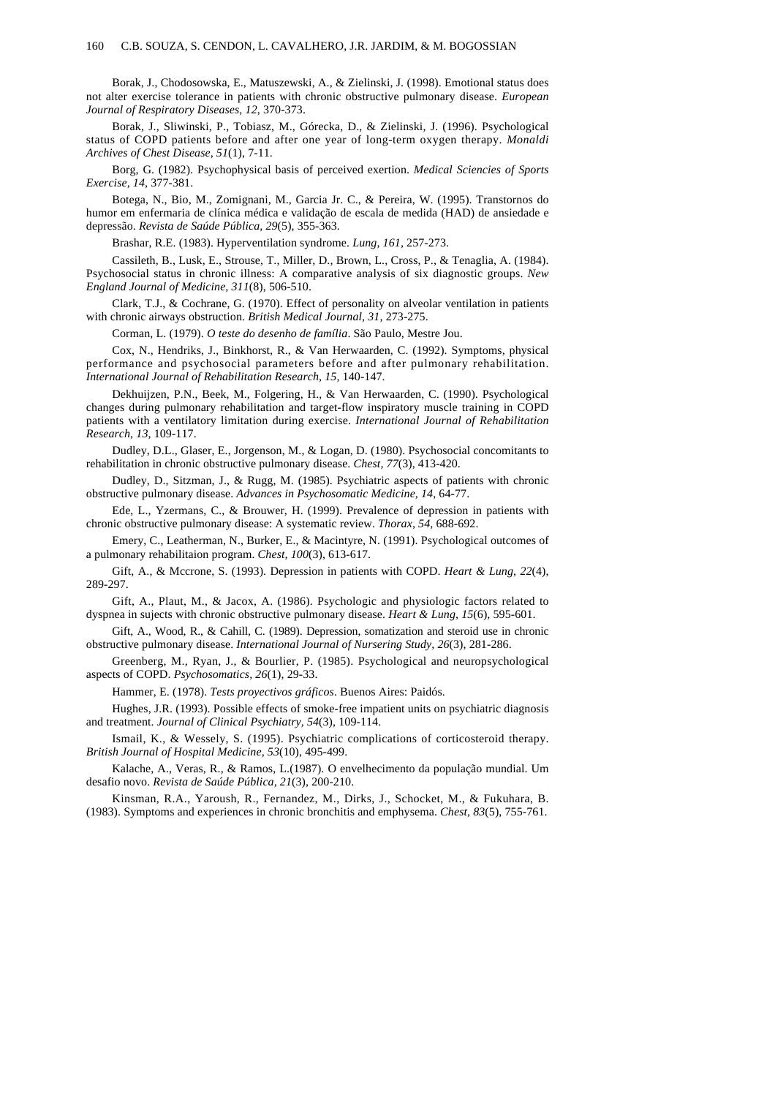Borak, J., Chodosowska, E., Matuszewski, A., & Zielinski, J. (1998). Emotional status does not alter exercise tolerance in patients with chronic obstructive pulmonary disease. *European Journal of Respiratory Diseases, 12*, 370-373.

Borak, J., Sliwinski, P., Tobiasz, M., Górecka, D., & Zielinski, J. (1996). Psychological status of COPD patients before and after one year of long-term oxygen therapy. *Monaldi Archives of Chest Disease, 51*(1), 7-11.

Borg, G. (1982). Psychophysical basis of perceived exertion. *Medical Sciencies of Sports Exercise, 14*, 377-381.

Botega, N., Bio, M., Zomignani, M., Garcia Jr. C., & Pereira, W. (1995). Transtornos do humor em enfermaria de clínica médica e validação de escala de medida (HAD) de ansiedade e depressão. *Revista de Saúde Pública, 29*(5), 355-363.

Brashar, R.E. (1983). Hyperventilation syndrome. *Lung, 161,* 257-273.

Cassileth, B., Lusk, E., Strouse, T., Miller, D., Brown, L., Cross, P., & Tenaglia, A. (1984). Psychosocial status in chronic illness: A comparative analysis of six diagnostic groups. *New England Journal of Medicine, 311*(8), 506-510.

Clark, T.J., & Cochrane, G. (1970). Effect of personality on alveolar ventilation in patients with chronic airways obstruction. *British Medical Journal, 31,* 273-275.

Corman, L. (1979). *O teste do desenho de família*. São Paulo, Mestre Jou.

Cox, N., Hendriks, J., Binkhorst, R., & Van Herwaarden, C. (1992). Symptoms, physical performance and psychosocial parameters before and after pulmonary rehabilitation. *International Journal of Rehabilitation Research, 15,* 140-147.

Dekhuijzen, P.N., Beek, M., Folgering, H., & Van Herwaarden, C. (1990). Psychological changes during pulmonary rehabilitation and target-flow inspiratory muscle training in COPD patients with a ventilatory limitation during exercise. *International Journal of Rehabilitation Research, 13,* 109-117.

Dudley, D.L., Glaser, E., Jorgenson, M., & Logan, D. (1980). Psychosocial concomitants to rehabilitation in chronic obstructive pulmonary disease. *Chest, 77*(3), 413-420.

Dudley, D., Sitzman, J., & Rugg, M. (1985). Psychiatric aspects of patients with chronic obstructive pulmonary disease. *Advances in Psychosomatic Medicine, 14*, 64-77.

Ede, L., Yzermans, C., & Brouwer, H. (1999). Prevalence of depression in patients with chronic obstructive pulmonary disease: A systematic review. *Thorax, 54*, 688-692.

Emery, C., Leatherman, N., Burker, E., & Macintyre, N. (1991). Psychological outcomes of a pulmonary rehabilitaion program. *Chest, 100*(3), 613-617.

Gift, A., & Mccrone, S. (1993). Depression in patients with COPD. *Heart & Lung, 22*(4), 289-297.

Gift, A., Plaut, M., & Jacox, A. (1986). Psychologic and physiologic factors related to dyspnea in sujects with chronic obstructive pulmonary disease. *Heart & Lung, 15*(6), 595-601.

Gift, A., Wood, R., & Cahill, C. (1989). Depression, somatization and steroid use in chronic obstructive pulmonary disease. *International Journal of Nursering Study, 26*(3), 281-286.

Greenberg, M., Ryan, J., & Bourlier, P. (1985). Psychological and neuropsychological aspects of COPD. *Psychosomatics, 26*(1), 29-33.

Hammer, E. (1978). *Tests proyectivos gráficos*. Buenos Aires: Paidós.

Hughes, J.R. (1993). Possible effects of smoke-free impatient units on psychiatric diagnosis and treatment. *Journal of Clinical Psychiatry, 54*(3), 109-114.

Ismail, K., & Wessely, S. (1995). Psychiatric complications of corticosteroid therapy. *British Journal of Hospital Medicine, 53*(10), 495-499.

Kalache, A., Veras, R., & Ramos, L.(1987). O envelhecimento da população mundial. Um desafio novo. *Revista de Saúde Pública, 21*(3), 200-210.

Kinsman, R.A., Yaroush, R., Fernandez, M., Dirks, J., Schocket, M., & Fukuhara, B. (1983). Symptoms and experiences in chronic bronchitis and emphysema. *Chest, 83*(5), 755-761.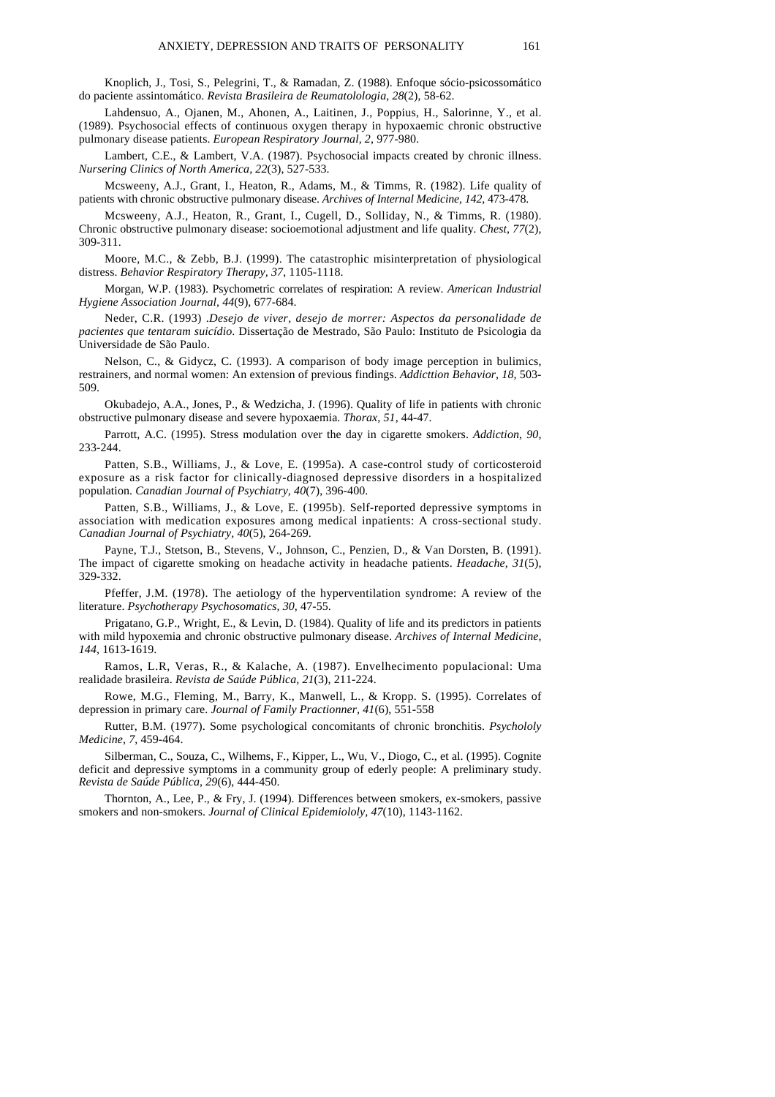Knoplich, J., Tosi, S., Pelegrini, T., & Ramadan, Z. (1988). Enfoque sócio-psicossomático do paciente assintomático. *Revista Brasileira de Reumatolologia, 28*(2), 58-62.

Lahdensuo, A., Ojanen, M., Ahonen, A., Laitinen, J., Poppius, H., Salorinne, Y., et al. (1989). Psychosocial effects of continuous oxygen therapy in hypoxaemic chronic obstructive pulmonary disease patients. *European Respiratory Journal, 2*, 977-980.

Lambert, C.E., & Lambert, V.A. (1987). Psychosocial impacts created by chronic illness. *Nursering Clinics of North America, 22*(3), 527-533.

Mcsweeny, A.J., Grant, I., Heaton, R., Adams, M., & Timms, R. (1982). Life quality of patients with chronic obstructive pulmonary disease. *Archives of Internal Medicine, 142*, 473-478.

Mcsweeny, A.J., Heaton, R., Grant, I., Cugell, D., Solliday, N., & Timms, R. (1980). Chronic obstructive pulmonary disease: socioemotional adjustment and life quality*. Chest, 77*(2), 309-311.

Moore, M.C., & Zebb, B.J. (1999). The catastrophic misinterpretation of physiological distress. *Behavior Respiratory Therapy, 37*, 1105-1118.

Morgan, W.P. (1983). Psychometric correlates of respiration: A review. *American Industrial Hygiene Association Journal, 44*(9), 677-684.

Neder, C.R. (1993) .*Desejo de viver, desejo de morrer: Aspectos da personalidade de pacientes que tentaram suicídio*. Dissertação de Mestrado, São Paulo: Instituto de Psicologia da Universidade de São Paulo.

Nelson, C., & Gidycz, C. (1993). A comparison of body image perception in bulimics, restrainers, and normal women: An extension of previous findings. *Addicttion Behavior, 18,* 503- 509.

Okubadejo, A.A., Jones, P., & Wedzicha, J. (1996). Quality of life in patients with chronic obstructive pulmonary disease and severe hypoxaemia. *Thorax, 51*, 44-47.

Parrott, A.C. (1995). Stress modulation over the day in cigarette smokers. *Addiction, 90,* 233-244.

Patten, S.B., Williams, J., & Love, E. (1995a). A case-control study of corticosteroid exposure as a risk factor for clinically-diagnosed depressive disorders in a hospitalized population. *Canadian Journal of Psychiatry, 40*(7), 396-400.

Patten, S.B., Williams, J., & Love, E. (1995b). Self-reported depressive symptoms in association with medication exposures among medical inpatients: A cross-sectional study. *Canadian Journal of Psychiatry, 40*(5), 264-269.

Payne, T.J., Stetson, B., Stevens, V., Johnson, C., Penzien, D., & Van Dorsten, B. (1991). The impact of cigarette smoking on headache activity in headache patients. *Headache, 31*(5), 329-332.

Pfeffer, J.M. (1978). The aetiology of the hyperventilation syndrome: A review of the literature. *Psychotherapy Psychosomatics, 30,* 47-55.

Prigatano, G.P., Wright, E., & Levin, D. (1984). Quality of life and its predictors in patients with mild hypoxemia and chronic obstructive pulmonary disease. *Archives of Internal Medicine, 144*, 1613-1619.

Ramos, L.R, Veras, R., & Kalache, A. (1987). Envelhecimento populacional: Uma realidade brasileira. *Revista de Saúde Pública, 21*(3), 211-224.

Rowe, M.G., Fleming, M., Barry, K., Manwell, L., & Kropp. S. (1995). Correlates of depression in primary care. *Journal of Family Practionner, 41*(6), 551-558

Rutter, B.M. (1977). Some psychological concomitants of chronic bronchitis. *Psychololy Medicine, 7*, 459-464.

Silberman, C., Souza, C., Wilhems, F., Kipper, L., Wu, V., Diogo, C., et al. (1995). Cognite deficit and depressive symptoms in a community group of ederly people: A preliminary study. *Revista de Saúde Pública, 29*(6), 444-450.

Thornton, A., Lee, P., & Fry, J. (1994). Differences between smokers, ex-smokers, passive smokers and non-smokers. *Journal of Clinical Epidemiololy, 47*(10), 1143-1162.